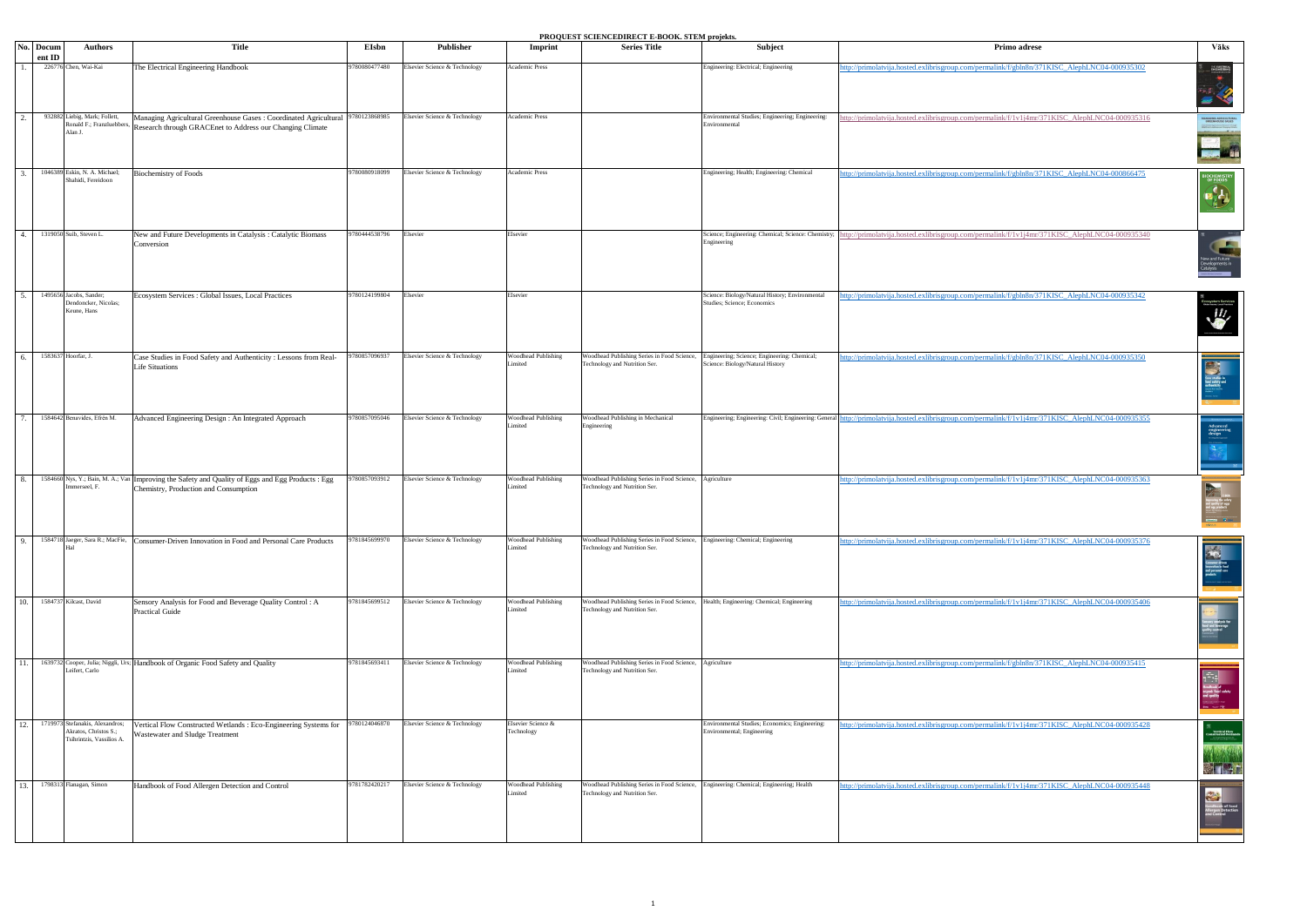| <b>Title</b><br>Publisher<br>No. Docum<br><b>Authors</b><br>EIsbn<br><b>Series Title</b><br>Subject<br>Primo adrese<br>Imprint<br>ent ID<br>226776 Chen, Wai-Kai<br>780080477480<br>Academic Press<br>The Electrical Engineering Handbook<br>Elsevier Science & Technology<br>Engineering: Electrical; Engineering<br>http://primolatvija.hosted.exlibrisgroup.com/permalink/f/gbln8n/371KISC_AlephLNC04-000935302<br>932882 Liebig, Mark; Follett,<br>Managing Agricultural Greenhouse Gases : Coordinated Agricultural 9780123868985<br>Elsevier Science & Technology<br>Academic Press<br>Environmental Studies; Engineering; Engineering:<br>http://primolatvija.hosted.exlibrisgroup.com/permalink/f/1v1j4mr/371KISC_AlephLNC04-000935316<br>Ronald F.; Franzluebbers,<br>Environmental<br>Research through GRACEnet to Address our Changing Climate<br>Alan J.<br>1046389 Eskin, N. A. Michael;<br>780080918099<br>Academic Press<br>Engineering; Health; Engineering: Chemical<br><b>Biochemistry of Foods</b><br>Elsevier Science & Technology<br>http://primolatvija.hosted.exlibrisgroup.com/permalink/f/gbln8n/371KISC_AlephLNC04-000866475<br>Shahidi, Fereidoon<br>1319050 Suib, Steven L.<br>Science; Engineering: Chemical; Science: Chemistry;<br>New and Future Developments in Catalysis : Catalytic Biomass<br>780444538796<br>Elsevier<br>Elsevier<br>http://primolatvija.hosted.exlibrisgroup.com/permalink/f/1v1j4mr/371KISC_AlephLNC04-000935340<br>Engineering<br>Conversion<br>Science: Biology/Natural History; Environmental<br>1495656 Jacobs, Sander;<br>Ecosystem Services : Global Issues, Local Practices<br>780124199804<br>Elsevier<br>Elsevier<br>ttp://primolatvija.hosted.exlibrisgroup.com/permalink/f/gbln8n/371KISC_AlephLNC04-000935342<br>Studies; Science; Economics<br>Dendoncker, Nicolas;<br>Keune, Hans<br>1583637 Hoorfar, J.<br>Woodhead Publishing<br>Woodhead Publishing Series in Food Science,<br>Case Studies in Food Safety and Authenticity : Lessons from Real-<br>780857096937<br>Elsevier Science & Technology<br>Engineering; Science; Engineering: Chemical;<br>http://primolatvija.hosted.exlibrisgroup.com/permalink/f/gbln8n/371KISC_AlephLNC04-000935350<br>Limited<br>Fechnology and Nutrition Ser.<br>Science: Biology/Natural History<br><b>Life Situations</b><br>1584642 Benavides, Efrén M.<br>780857095046<br><b>Woodhead Publishing</b><br>Woodhead Publishing in Mechanical<br>Engineering; Engineering: Civil; Engineering: General<br>Elsevier Science & Technology<br>tp://primolatvija.hosted.exlibrisgroup.com/permalink/f/1v1j4mr/371KISC AlephLNC04-000935355<br>Advanced Engineering Design : An Integrated Approach<br>Limited<br>Engineering<br>1584660 Nys, Y.; Bain, M. A.; Van Improving the Safety and Quality of Eggs and Egg Products : Egg<br>780857093912<br>Elsevier Science & Technology<br><b>Woodhead Publishing</b><br>Voodhead Publishing Series in Food Science, Agriculture<br>http://primolatvija.hosted.exlibrisgroup.com/permalink/f/1v1j4mr/371KISC_AlephLNC04-000935363<br>mmerseel, F.<br>Limited<br>Fechnology and Nutrition Ser.<br>Chemistry, Production and Consumption<br>Elsevier Science & Technology<br>Woodhead Publishing<br>1584718 Jaeger, Sara R.; MacFie, Consumer-Driven Innovation in Food and Personal Care Products<br>781845699970<br>Voodhead Publishing Series in Food Science,<br>Engineering: Chemical; Engineering<br>http://primolatvija.hosted.exlibrisgroup.com/permalink/f/1v1j4mr/371KISC_AlephLNC04-000935376<br>Limited<br>Technology and Nutrition Ser.<br>1584737 Kilcast, David<br><b>Woodhead Publishing</b><br>Woodhead Publishing Series in Food Science,<br>Sensory Analysis for Food and Beverage Quality Control: A<br>9781845699512<br>Elsevier Science & Technology<br>Health; Engineering: Chemical; Engineering<br>http://primolatvija.hosted.exlibrisgroup.com/permalink/f/1v1j4mr/371KISC_AlephLNC04-000935406<br>Limited<br>Fechnology and Nutrition Ser.<br><b>Practical Guide</b><br>Woodhead Publishing Series in Food Science, Agriculture<br>1639732 Cooper, Julia; Niggli, Urs; Handbook of Organic Food Safety and Quality<br>9781845693411<br>Elsevier Science & Technology<br><b>Woodhead Publishing</b><br>nttp://primolatvija.hosted.exlibrisgroup.com/permalink/f/gbln8n/371KISC AlephLNC04-000935415<br>Leifert, Carlo<br>Limited<br>Fechnology and Nutrition Ser.<br>1719973 Stefanakis, Alexandros;<br>9780124046870<br>Environmental Studies; Economics; Engineering:<br>12 <sup>12</sup><br>Elsevier Science & Technology<br>Elsevier Science &<br>ttp://primolatvija.hosted.exlibrisgroup.com/permalink/f/1v1j4mr/371KISC_AlephLNC04-000935428<br>Vertical Flow Constructed Wetlands : Eco-Engineering Systems for<br>Technology<br>Akratos, Christos S.;<br>Environmental; Engineering<br>Wastewater and Sludge Treatment<br>Tsihrintzis, Vassilios A<br>1798313 Flanagan, Simon<br>9781782420217<br><b>Woodhead Publishing</b><br>Woodhead Publishing Series in Food Science,<br>Elsevier Science & Technology<br>Engineering: Chemical; Engineering; Health<br>Handbook of Food Allergen Detection and Control<br>http://primolatvija.hosted.exlibrisgroup.com/permalink/f/1v1j4mr/371KISC AlephLNC04-000935448<br>13.<br>Limited<br><b>Technology and Nutrition Ser.</b> |  |  |  | PROQUEST SCIENCEDIRECT E-DOOR. STEM projekts. |  |                                                                                                           |
|---------------------------------------------------------------------------------------------------------------------------------------------------------------------------------------------------------------------------------------------------------------------------------------------------------------------------------------------------------------------------------------------------------------------------------------------------------------------------------------------------------------------------------------------------------------------------------------------------------------------------------------------------------------------------------------------------------------------------------------------------------------------------------------------------------------------------------------------------------------------------------------------------------------------------------------------------------------------------------------------------------------------------------------------------------------------------------------------------------------------------------------------------------------------------------------------------------------------------------------------------------------------------------------------------------------------------------------------------------------------------------------------------------------------------------------------------------------------------------------------------------------------------------------------------------------------------------------------------------------------------------------------------------------------------------------------------------------------------------------------------------------------------------------------------------------------------------------------------------------------------------------------------------------------------------------------------------------------------------------------------------------------------------------------------------------------------------------------------------------------------------------------------------------------------------------------------------------------------------------------------------------------------------------------------------------------------------------------------------------------------------------------------------------------------------------------------------------------------------------------------------------------------------------------------------------------------------------------------------------------------------------------------------------------------------------------------------------------------------------------------------------------------------------------------------------------------------------------------------------------------------------------------------------------------------------------------------------------------------------------------------------------------------------------------------------------------------------------------------------------------------------------------------------------------------------------------------------------------------------------------------------------------------------------------------------------------------------------------------------------------------------------------------------------------------------------------------------------------------------------------------------------------------------------------------------------------------------------------------------------------------------------------------------------------------------------------------------------------------------------------------------------------------------------------------------------------------------------------------------------------------------------------------------------------------------------------------------------------------------------------------------------------------------------------------------------------------------------------------------------------------------------------------------------------------------------------------------------------------------------------------------------------------------------------------------------------------------------------------------------------------------------------------------------------------------------------------------------------------------------------------------------------------------------------------------------------------------------------------------------------------------------------------------------------------------------------------------------------------------------------------------------------------------------------------------------------------------------------------------------------------------------------------------------------------------------------------------------------------------------------------------------------------------------------------------------------------------------------------------------------------------------------------------------------------------------------------------------------------------------------------------------------------------------------------------------------------------------------------|--|--|--|-----------------------------------------------|--|-----------------------------------------------------------------------------------------------------------|
|                                                                                                                                                                                                                                                                                                                                                                                                                                                                                                                                                                                                                                                                                                                                                                                                                                                                                                                                                                                                                                                                                                                                                                                                                                                                                                                                                                                                                                                                                                                                                                                                                                                                                                                                                                                                                                                                                                                                                                                                                                                                                                                                                                                                                                                                                                                                                                                                                                                                                                                                                                                                                                                                                                                                                                                                                                                                                                                                                                                                                                                                                                                                                                                                                                                                                                                                                                                                                                                                                                                                                                                                                                                                                                                                                                                                                                                                                                                                                                                                                                                                                                                                                                                                                                                                                                                                                                                                                                                                                                                                                                                                                                                                                                                                                                                                                                                                                                                                                                                                                                                                                                                                                                                                                                                                                                                                                         |  |  |  |                                               |  | Vāks                                                                                                      |
|                                                                                                                                                                                                                                                                                                                                                                                                                                                                                                                                                                                                                                                                                                                                                                                                                                                                                                                                                                                                                                                                                                                                                                                                                                                                                                                                                                                                                                                                                                                                                                                                                                                                                                                                                                                                                                                                                                                                                                                                                                                                                                                                                                                                                                                                                                                                                                                                                                                                                                                                                                                                                                                                                                                                                                                                                                                                                                                                                                                                                                                                                                                                                                                                                                                                                                                                                                                                                                                                                                                                                                                                                                                                                                                                                                                                                                                                                                                                                                                                                                                                                                                                                                                                                                                                                                                                                                                                                                                                                                                                                                                                                                                                                                                                                                                                                                                                                                                                                                                                                                                                                                                                                                                                                                                                                                                                                         |  |  |  |                                               |  | THE ELECTRICAL<br>ENGINEERING<br>HANDBOOK                                                                 |
|                                                                                                                                                                                                                                                                                                                                                                                                                                                                                                                                                                                                                                                                                                                                                                                                                                                                                                                                                                                                                                                                                                                                                                                                                                                                                                                                                                                                                                                                                                                                                                                                                                                                                                                                                                                                                                                                                                                                                                                                                                                                                                                                                                                                                                                                                                                                                                                                                                                                                                                                                                                                                                                                                                                                                                                                                                                                                                                                                                                                                                                                                                                                                                                                                                                                                                                                                                                                                                                                                                                                                                                                                                                                                                                                                                                                                                                                                                                                                                                                                                                                                                                                                                                                                                                                                                                                                                                                                                                                                                                                                                                                                                                                                                                                                                                                                                                                                                                                                                                                                                                                                                                                                                                                                                                                                                                                                         |  |  |  |                                               |  | Agreedwal Treesold Frought<br>6 Address auf Chenging Trimers                                              |
|                                                                                                                                                                                                                                                                                                                                                                                                                                                                                                                                                                                                                                                                                                                                                                                                                                                                                                                                                                                                                                                                                                                                                                                                                                                                                                                                                                                                                                                                                                                                                                                                                                                                                                                                                                                                                                                                                                                                                                                                                                                                                                                                                                                                                                                                                                                                                                                                                                                                                                                                                                                                                                                                                                                                                                                                                                                                                                                                                                                                                                                                                                                                                                                                                                                                                                                                                                                                                                                                                                                                                                                                                                                                                                                                                                                                                                                                                                                                                                                                                                                                                                                                                                                                                                                                                                                                                                                                                                                                                                                                                                                                                                                                                                                                                                                                                                                                                                                                                                                                                                                                                                                                                                                                                                                                                                                                                         |  |  |  |                                               |  | <b>SIOCHEMISTRY</b><br>OF FOODS                                                                           |
|                                                                                                                                                                                                                                                                                                                                                                                                                                                                                                                                                                                                                                                                                                                                                                                                                                                                                                                                                                                                                                                                                                                                                                                                                                                                                                                                                                                                                                                                                                                                                                                                                                                                                                                                                                                                                                                                                                                                                                                                                                                                                                                                                                                                                                                                                                                                                                                                                                                                                                                                                                                                                                                                                                                                                                                                                                                                                                                                                                                                                                                                                                                                                                                                                                                                                                                                                                                                                                                                                                                                                                                                                                                                                                                                                                                                                                                                                                                                                                                                                                                                                                                                                                                                                                                                                                                                                                                                                                                                                                                                                                                                                                                                                                                                                                                                                                                                                                                                                                                                                                                                                                                                                                                                                                                                                                                                                         |  |  |  |                                               |  | wand Future<br>wand Future<br>stalysis                                                                    |
|                                                                                                                                                                                                                                                                                                                                                                                                                                                                                                                                                                                                                                                                                                                                                                                                                                                                                                                                                                                                                                                                                                                                                                                                                                                                                                                                                                                                                                                                                                                                                                                                                                                                                                                                                                                                                                                                                                                                                                                                                                                                                                                                                                                                                                                                                                                                                                                                                                                                                                                                                                                                                                                                                                                                                                                                                                                                                                                                                                                                                                                                                                                                                                                                                                                                                                                                                                                                                                                                                                                                                                                                                                                                                                                                                                                                                                                                                                                                                                                                                                                                                                                                                                                                                                                                                                                                                                                                                                                                                                                                                                                                                                                                                                                                                                                                                                                                                                                                                                                                                                                                                                                                                                                                                                                                                                                                                         |  |  |  |                                               |  | $\mathcal{L}'$                                                                                            |
|                                                                                                                                                                                                                                                                                                                                                                                                                                                                                                                                                                                                                                                                                                                                                                                                                                                                                                                                                                                                                                                                                                                                                                                                                                                                                                                                                                                                                                                                                                                                                                                                                                                                                                                                                                                                                                                                                                                                                                                                                                                                                                                                                                                                                                                                                                                                                                                                                                                                                                                                                                                                                                                                                                                                                                                                                                                                                                                                                                                                                                                                                                                                                                                                                                                                                                                                                                                                                                                                                                                                                                                                                                                                                                                                                                                                                                                                                                                                                                                                                                                                                                                                                                                                                                                                                                                                                                                                                                                                                                                                                                                                                                                                                                                                                                                                                                                                                                                                                                                                                                                                                                                                                                                                                                                                                                                                                         |  |  |  |                                               |  |                                                                                                           |
|                                                                                                                                                                                                                                                                                                                                                                                                                                                                                                                                                                                                                                                                                                                                                                                                                                                                                                                                                                                                                                                                                                                                                                                                                                                                                                                                                                                                                                                                                                                                                                                                                                                                                                                                                                                                                                                                                                                                                                                                                                                                                                                                                                                                                                                                                                                                                                                                                                                                                                                                                                                                                                                                                                                                                                                                                                                                                                                                                                                                                                                                                                                                                                                                                                                                                                                                                                                                                                                                                                                                                                                                                                                                                                                                                                                                                                                                                                                                                                                                                                                                                                                                                                                                                                                                                                                                                                                                                                                                                                                                                                                                                                                                                                                                                                                                                                                                                                                                                                                                                                                                                                                                                                                                                                                                                                                                                         |  |  |  |                                               |  | $\begin{array}{c} \textbf{Advanced} \\ \textbf{engineering} \\ \textbf{design} \\ \textit{R} \end{array}$ |
|                                                                                                                                                                                                                                                                                                                                                                                                                                                                                                                                                                                                                                                                                                                                                                                                                                                                                                                                                                                                                                                                                                                                                                                                                                                                                                                                                                                                                                                                                                                                                                                                                                                                                                                                                                                                                                                                                                                                                                                                                                                                                                                                                                                                                                                                                                                                                                                                                                                                                                                                                                                                                                                                                                                                                                                                                                                                                                                                                                                                                                                                                                                                                                                                                                                                                                                                                                                                                                                                                                                                                                                                                                                                                                                                                                                                                                                                                                                                                                                                                                                                                                                                                                                                                                                                                                                                                                                                                                                                                                                                                                                                                                                                                                                                                                                                                                                                                                                                                                                                                                                                                                                                                                                                                                                                                                                                                         |  |  |  |                                               |  |                                                                                                           |
|                                                                                                                                                                                                                                                                                                                                                                                                                                                                                                                                                                                                                                                                                                                                                                                                                                                                                                                                                                                                                                                                                                                                                                                                                                                                                                                                                                                                                                                                                                                                                                                                                                                                                                                                                                                                                                                                                                                                                                                                                                                                                                                                                                                                                                                                                                                                                                                                                                                                                                                                                                                                                                                                                                                                                                                                                                                                                                                                                                                                                                                                                                                                                                                                                                                                                                                                                                                                                                                                                                                                                                                                                                                                                                                                                                                                                                                                                                                                                                                                                                                                                                                                                                                                                                                                                                                                                                                                                                                                                                                                                                                                                                                                                                                                                                                                                                                                                                                                                                                                                                                                                                                                                                                                                                                                                                                                                         |  |  |  |                                               |  | ier-driven<br>Ion in faod<br>Ional care                                                                   |
|                                                                                                                                                                                                                                                                                                                                                                                                                                                                                                                                                                                                                                                                                                                                                                                                                                                                                                                                                                                                                                                                                                                                                                                                                                                                                                                                                                                                                                                                                                                                                                                                                                                                                                                                                                                                                                                                                                                                                                                                                                                                                                                                                                                                                                                                                                                                                                                                                                                                                                                                                                                                                                                                                                                                                                                                                                                                                                                                                                                                                                                                                                                                                                                                                                                                                                                                                                                                                                                                                                                                                                                                                                                                                                                                                                                                                                                                                                                                                                                                                                                                                                                                                                                                                                                                                                                                                                                                                                                                                                                                                                                                                                                                                                                                                                                                                                                                                                                                                                                                                                                                                                                                                                                                                                                                                                                                                         |  |  |  |                                               |  |                                                                                                           |
|                                                                                                                                                                                                                                                                                                                                                                                                                                                                                                                                                                                                                                                                                                                                                                                                                                                                                                                                                                                                                                                                                                                                                                                                                                                                                                                                                                                                                                                                                                                                                                                                                                                                                                                                                                                                                                                                                                                                                                                                                                                                                                                                                                                                                                                                                                                                                                                                                                                                                                                                                                                                                                                                                                                                                                                                                                                                                                                                                                                                                                                                                                                                                                                                                                                                                                                                                                                                                                                                                                                                                                                                                                                                                                                                                                                                                                                                                                                                                                                                                                                                                                                                                                                                                                                                                                                                                                                                                                                                                                                                                                                                                                                                                                                                                                                                                                                                                                                                                                                                                                                                                                                                                                                                                                                                                                                                                         |  |  |  |                                               |  | $\frac{1}{2}$ and $\frac{1}{2}$                                                                           |
|                                                                                                                                                                                                                                                                                                                                                                                                                                                                                                                                                                                                                                                                                                                                                                                                                                                                                                                                                                                                                                                                                                                                                                                                                                                                                                                                                                                                                                                                                                                                                                                                                                                                                                                                                                                                                                                                                                                                                                                                                                                                                                                                                                                                                                                                                                                                                                                                                                                                                                                                                                                                                                                                                                                                                                                                                                                                                                                                                                                                                                                                                                                                                                                                                                                                                                                                                                                                                                                                                                                                                                                                                                                                                                                                                                                                                                                                                                                                                                                                                                                                                                                                                                                                                                                                                                                                                                                                                                                                                                                                                                                                                                                                                                                                                                                                                                                                                                                                                                                                                                                                                                                                                                                                                                                                                                                                                         |  |  |  |                                               |  | ※ インテ                                                                                                     |
|                                                                                                                                                                                                                                                                                                                                                                                                                                                                                                                                                                                                                                                                                                                                                                                                                                                                                                                                                                                                                                                                                                                                                                                                                                                                                                                                                                                                                                                                                                                                                                                                                                                                                                                                                                                                                                                                                                                                                                                                                                                                                                                                                                                                                                                                                                                                                                                                                                                                                                                                                                                                                                                                                                                                                                                                                                                                                                                                                                                                                                                                                                                                                                                                                                                                                                                                                                                                                                                                                                                                                                                                                                                                                                                                                                                                                                                                                                                                                                                                                                                                                                                                                                                                                                                                                                                                                                                                                                                                                                                                                                                                                                                                                                                                                                                                                                                                                                                                                                                                                                                                                                                                                                                                                                                                                                                                                         |  |  |  |                                               |  | Ø.                                                                                                        |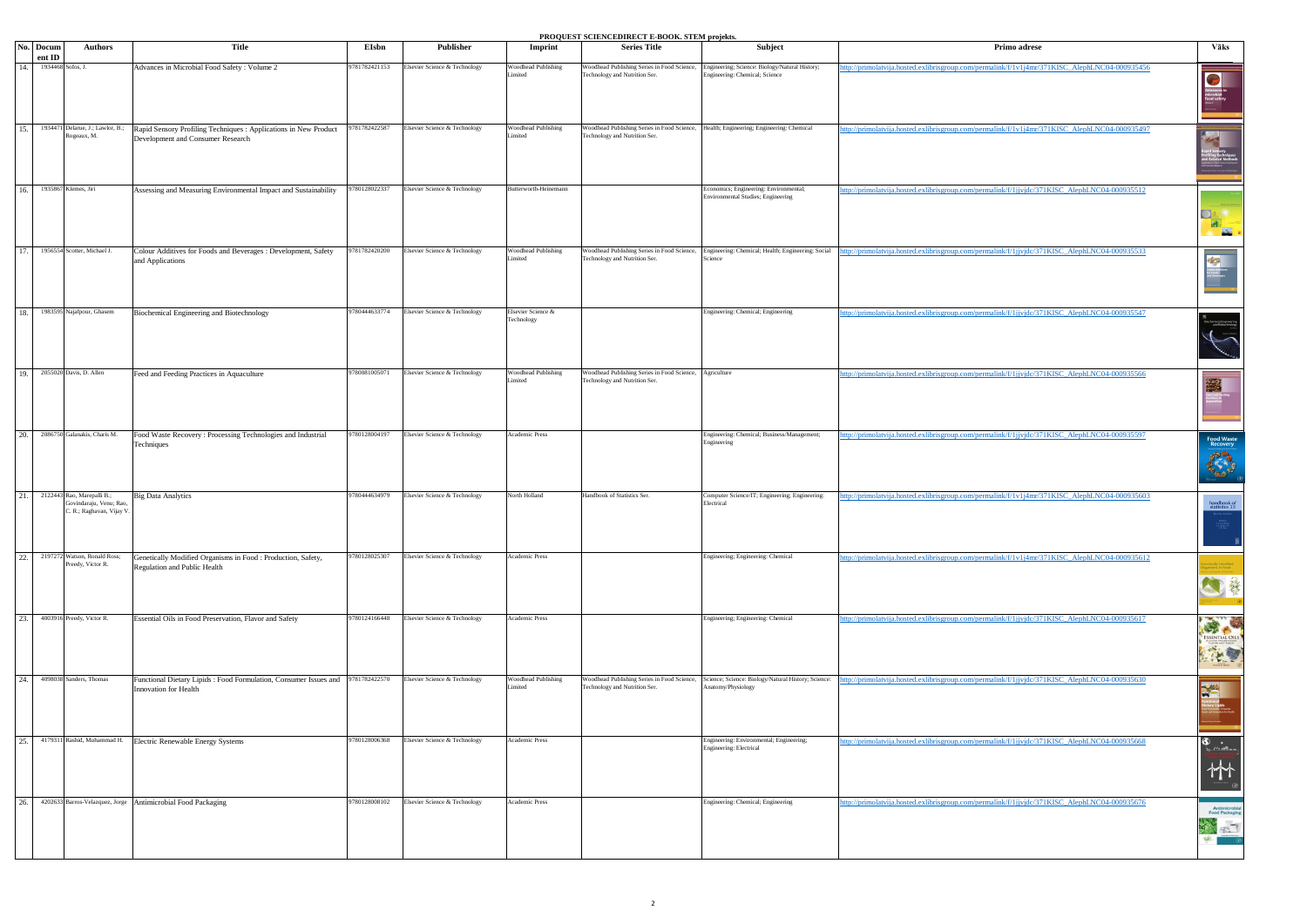**PROQUEST SCIENCEDIRECT E-BOOK. STEM projekts.**

|                   | No. Docum         | <b>Authors</b>                                                                    | Title                                                                                                 | <b>EIsbn</b>  | <b>Publisher</b>              | Imprint                               | T ROQUEST SCIENCEDIRECT E-BOOR. STEM PIOJEKIS.<br><b>Series Title</b>                                                   | Subject                                                                                                               | Primo adrese                                                                                  | Vāks                                                                                                                                                                                                                                                                                                                                                |
|-------------------|-------------------|-----------------------------------------------------------------------------------|-------------------------------------------------------------------------------------------------------|---------------|-------------------------------|---------------------------------------|-------------------------------------------------------------------------------------------------------------------------|-----------------------------------------------------------------------------------------------------------------------|-----------------------------------------------------------------------------------------------|-----------------------------------------------------------------------------------------------------------------------------------------------------------------------------------------------------------------------------------------------------------------------------------------------------------------------------------------------------|
|                   | ent ID            |                                                                                   |                                                                                                       |               |                               |                                       |                                                                                                                         |                                                                                                                       |                                                                                               |                                                                                                                                                                                                                                                                                                                                                     |
| 14.               | 1934468 Sofos, J. |                                                                                   | Advances in Microbial Food Safety : Volume 2                                                          | 9781782421153 | Elsevier Science & Technology | <b>Woodhead Publishing</b><br>imited  | Woodhead Publishing Series in Food Science,<br>Technology and Nutrition Ser.                                            | Engineering; Science: Biology/Natural History;<br>Engineering: Chemical; Science                                      | http://primolatvija.hosted.exlibrisgroup.com/permalink/f/1v1j4mr/371KISC_AlephLNC04-000935456 |                                                                                                                                                                                                                                                                                                                                                     |
| 15.               |                   | 1934471 Delarue, J.; Lawlor, B.;<br>Rogeaux, M.                                   | Rapid Sensory Profiling Techniques : Applications in New Product<br>Development and Consumer Research | 9781782422587 | Elsevier Science & Technology | <b>Woodhead Publishing</b><br>imited  | Woodhead Publishing Series in Food Science, Health; Engineering; Engineering: Chemical<br>Technology and Nutrition Ser. |                                                                                                                       | http://primolatvija.hosted.exlibrisgroup.com/permalink/f/1v1j4mr/371KISC_AlephLNC04-000935497 | 4.4                                                                                                                                                                                                                                                                                                                                                 |
| 16.               |                   | 1935867 Klemes, Jiri                                                              | Assessing and Measuring Environmental Impact and Sustainability                                       | 9780128022337 | Elsevier Science & Technology | Butterworth-Heinemann                 |                                                                                                                         | Economics; Engineering: Environmental;<br>Environmental Studies; Engineering                                          | http://primolatvija.hosted.exlibrisgroup.com/permalink/f/1jjvjdc/371KISC AlephLNC04-000935512 | $\begin{picture}(130,10) \put(0,0){\line(1,0){15}} \put(15,0){\line(1,0){15}} \put(15,0){\line(1,0){15}} \put(15,0){\line(1,0){15}} \put(15,0){\line(1,0){15}} \put(15,0){\line(1,0){15}} \put(15,0){\line(1,0){15}} \put(15,0){\line(1,0){15}} \put(15,0){\line(1,0){15}} \put(15,0){\line(1,0){15}} \put(15,0){\line(1,0){15}} \put(15,0){\line($ |
| 17.               |                   | 1956554 Scotter, Michael J.                                                       | Colour Additives for Foods and Beverages : Development, Safety<br>and Applications                    | 781782420200  | Elsevier Science & Technology | <b>Woodhead Publishing</b><br>imited  | Technology and Nutrition Ser.                                                                                           | Woodhead Publishing Series in Food Science, Engineering: Chemical; Health; Engineering; Social<br>Science             | ttp://primolatvija.hosted.exlibrisgroup.com/permalink/f/1jjvjdc/371KISC_AlephLNC04-000935533  | Colour Adams<br>Colour Adams<br>for Foods                                                                                                                                                                                                                                                                                                           |
| 18.               |                   | 1983595 Najafpour, Ghasem                                                         | Biochemical Engineering and Biotechnology                                                             | 9780444633774 | Elsevier Science & Technology | Elsevier Science &<br>Technology      |                                                                                                                         | Engineering: Chemical; Engineering                                                                                    | http://primolatvija.hosted.exlibrisgroup.com/permalink/f/1jjvjdc/371KISC_AlephLNC04-000935547 |                                                                                                                                                                                                                                                                                                                                                     |
| <sup>19</sup> .   |                   | 2055020 Davis, D. Allen                                                           | Feed and Feeding Practices in Aquaculture                                                             | 9780081005071 | Elsevier Science & Technology | <b>Woodhead Publishing</b><br>imited  | Woodhead Publishing Series in Food Science, Agriculture<br>Technology and Nutrition Ser.                                |                                                                                                                       | http://primolatvija.hosted.exlibrisgroup.com/permalink/f/1jjvjdc/371KISC_AlephLNC04-000935566 | 露                                                                                                                                                                                                                                                                                                                                                   |
| 20.               |                   | 2086750 Galanakis, Charis M.                                                      | Food Waste Recovery: Processing Technologies and Industrial<br>Techniques                             | 780128004197  | Elsevier Science & Technology | Academic Press                        |                                                                                                                         | Engineering: Chemical; Business/Management;<br>Engineering                                                            | http://primolatvija.hosted.exlibrisgroup.com/permalink/f/1jjvjdc/371KISC_AlephLNC04-000935597 | Food Waste<br>Recovery<br>统                                                                                                                                                                                                                                                                                                                         |
| 21.               |                   | 2122443 Rao, Marepalli B.;<br>Govindaraju, Venu; Rao,<br>C. R.; Raghavan, Vijay V | <b>Big Data Analytics</b>                                                                             | 9780444634979 | Elsevier Science & Technology | North Holland                         | Handbook of Statistics Ser.                                                                                             | Computer Science/IT; Engineering; Engineering:<br>Electrical                                                          | http://primolatvija.hosted.exlibrisgroup.com/permalink/f/1v1j4mr/371KISC_AlephLNC04-000935603 | $\frac{\mathop{\mathsf{handbook of}}}{\mathop{\mathsf{statistics}} 33}$                                                                                                                                                                                                                                                                             |
| 22.               |                   | 2197272 Watson, Ronald Ross;<br>Preedy, Victor R.                                 | Genetically Modified Organisms in Food : Production, Safety,<br>Regulation and Public Health          | 9780128025307 | Elsevier Science & Technology | Academic Press                        |                                                                                                                         | Engineering; Engineering: Chemical                                                                                    | http://primolatvija.hosted.exlibrisgroup.com/permalink/f/1v1j4mr/371KISC AlephLNC04-000935612 | 白藝                                                                                                                                                                                                                                                                                                                                                  |
| $\overline{23}$ . |                   | 4003916 Preedy, Victor R.                                                         | Essential Oils in Food Preservation, Flavor and Safety                                                | 9780124166448 | Elsevier Science & Technology | Academic Press                        |                                                                                                                         | Engineering; Engineering: Chemical                                                                                    | http://primolatvija.hosted.exlibrisgroup.com/permalink/f/1jjvjdc/371KISC_AlephLNC04-000935617 |                                                                                                                                                                                                                                                                                                                                                     |
| 24.               |                   | 4098038 Sanders, Thomas                                                           | Functional Dietary Lipids: Food Formulation, Consumer Issues and<br>Innovation for Health             | 9781782422570 | Elsevier Science & Technology | <b>Woodhead Publishing</b><br>Limited | Technology and Nutrition Ser.                                                                                           | Woodhead Publishing Series in Food Science, Science; Science: Biology/Natural History; Science:<br>Anatomy/Physiology | ttp://primolatvija.hosted.exlibrisgroup.com/permalink/f/1jjvjdc/371KISC_AlephLNC04-000935630  | X                                                                                                                                                                                                                                                                                                                                                   |
| 25.               |                   | 4179311 Rashid, Muhammad H.                                                       | Electric Renewable Energy Systems                                                                     | 9780128006368 | Elsevier Science & Technology | Academic Press                        |                                                                                                                         | Engineering: Environmental; Engineering;<br>Engineering: Electrical                                                   | http://primolatvija.hosted.exlibrisgroup.com/permalink/f/1jjvjdc/371KISC_AlephLNC04-000935668 | $\bigoplus_{\lambda_0,\ldots,\lambda_{\ell_0}\in\mathbb{R}^{2d},\ldots}$<br>竹                                                                                                                                                                                                                                                                       |
| 26.               |                   |                                                                                   | 4202633 Barros-Velazquez, Jorge Antimicrobial Food Packaging                                          | 9780128008102 | Elsevier Science & Technology | Academic Press                        |                                                                                                                         | Engineering: Chemical; Engineering                                                                                    | http://primolatvija.hosted.exlibrisgroup.com/permalink/f/1jjvjdc/371KISC_AlephLNC04-000935676 | <b>Antimicrobial</b><br>Food Packaging                                                                                                                                                                                                                                                                                                              |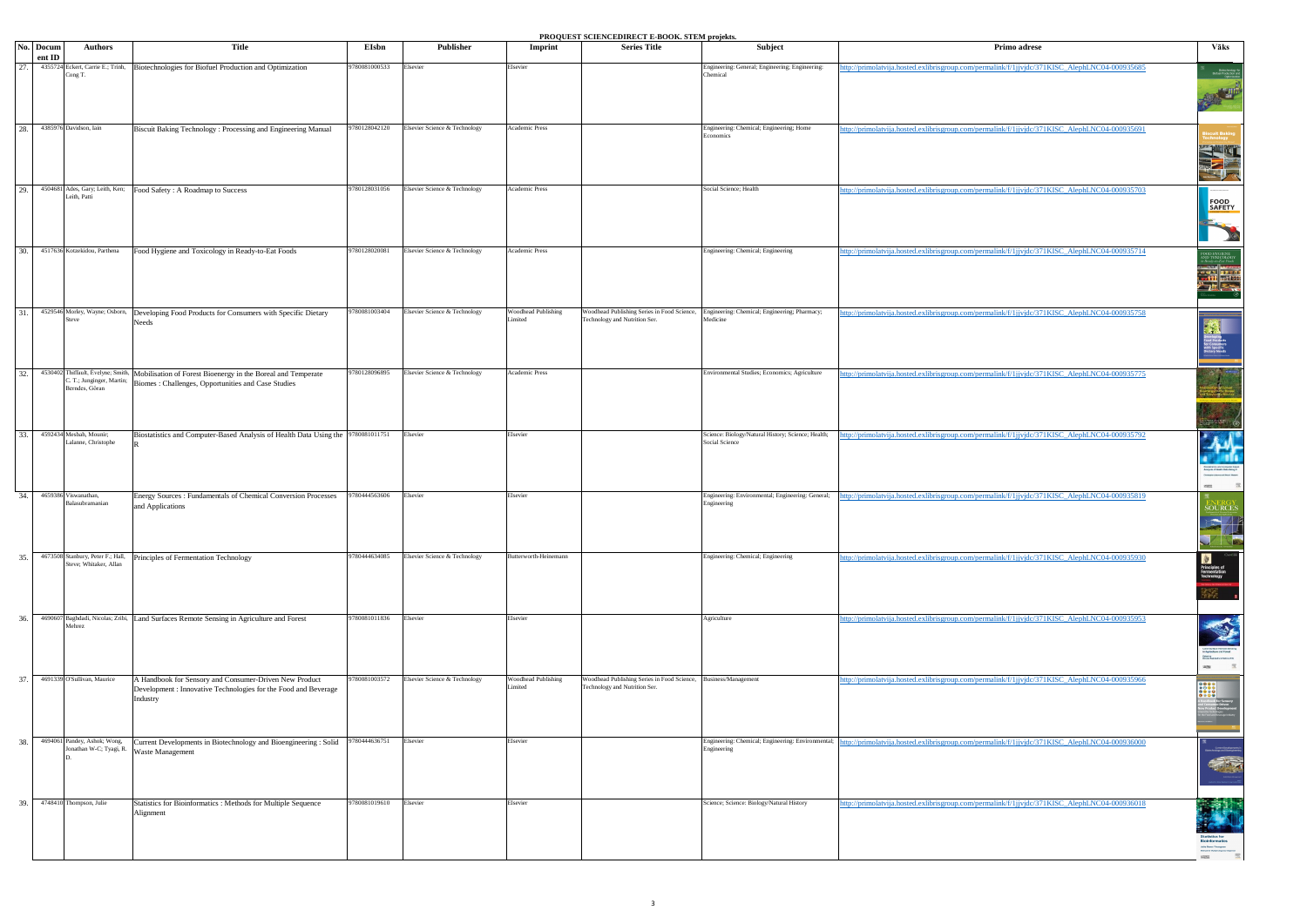|     |                                                         |                                                                                                 |               |                               |                                | <b>FROQUEST SCIENCEDINECT E-BOOK. STEM PROFINS.</b>                          |                                                                      |                                                                                               |                                                                    |
|-----|---------------------------------------------------------|-------------------------------------------------------------------------------------------------|---------------|-------------------------------|--------------------------------|------------------------------------------------------------------------------|----------------------------------------------------------------------|-----------------------------------------------------------------------------------------------|--------------------------------------------------------------------|
|     | No. Docum<br><b>Authors</b><br>ent ID                   | Title                                                                                           | EIsbn         | Publisher                     | Imprint                        | <b>Series Title</b>                                                          | Subject                                                              | Primo adrese                                                                                  | Vāks                                                               |
| 27. | 4355724 Eckert, Carrie E.; Trinh,                       | Biotechnologies for Biofuel Production and Optimization                                         | 9780081000533 | Elsevier                      | Elsevier                       |                                                                              | Engineering: General; Engineering; Engineering:                      | tp://primolatvija.hosted.exlibrisgroup.com/permalink/f/1jjvjdc/371KISC_AlephLNC04-000935685   |                                                                    |
|     | Cong T.                                                 |                                                                                                 |               |                               |                                |                                                                              | Chemical                                                             |                                                                                               | Biotechnology for<br>Biotuel Production and<br>Optimization        |
|     |                                                         |                                                                                                 |               |                               |                                |                                                                              |                                                                      |                                                                                               | <b>AND READER</b>                                                  |
|     |                                                         |                                                                                                 |               |                               |                                |                                                                              |                                                                      |                                                                                               |                                                                    |
| 28. | 4385976 Davidson, Iain                                  | Biscuit Baking Technology: Processing and Engineering Manual                                    | 9780128042120 | Elsevier Science & Technology | Academic Press                 |                                                                              | Engineering: Chemical; Engineering; Home                             | ttp://primolatvija.hosted.exlibrisgroup.com/permalink/f/1jjvjdc/371KISC_AlephLNC04-000935691  |                                                                    |
|     |                                                         |                                                                                                 |               |                               |                                |                                                                              | Economics                                                            |                                                                                               |                                                                    |
|     |                                                         |                                                                                                 |               |                               |                                |                                                                              |                                                                      |                                                                                               |                                                                    |
|     |                                                         |                                                                                                 |               |                               |                                |                                                                              |                                                                      |                                                                                               |                                                                    |
|     |                                                         |                                                                                                 |               |                               |                                |                                                                              |                                                                      |                                                                                               |                                                                    |
| 29. | 4504681 Ades, Gary; Leith, Ken;<br>Leith, Patti         | Food Safety: A Roadmap to Success                                                               | 9780128031056 | Elsevier Science & Technology | Academic Press                 |                                                                              | Social Science; Health                                               | http://primolatvija.hosted.exlibrisgroup.com/permalink/f/1jjvjdc/371KISC AlephLNC04-000935703 |                                                                    |
|     |                                                         |                                                                                                 |               |                               |                                |                                                                              |                                                                      |                                                                                               | FOOD<br>SAFETY                                                     |
|     |                                                         |                                                                                                 |               |                               |                                |                                                                              |                                                                      |                                                                                               |                                                                    |
|     |                                                         |                                                                                                 |               |                               |                                |                                                                              |                                                                      |                                                                                               |                                                                    |
| 30. | 4517636 Kotzekidou, Parthena                            | Food Hygiene and Toxicology in Ready-to-Eat Foods                                               | 9780128020081 | Elsevier Science & Technology | Academic Press                 |                                                                              | Engineering: Chemical; Engineering                                   | http://primolatvija.hosted.exlibrisgroup.com/permalink/f/1jjvjdc/371KISC_AlephLNC04-000935714 |                                                                    |
|     |                                                         |                                                                                                 |               |                               |                                |                                                                              |                                                                      |                                                                                               | OD HYGIENE<br>ID TOXICOLOGY<br>Ready-to-Eat Foods                  |
|     |                                                         |                                                                                                 |               |                               |                                |                                                                              |                                                                      |                                                                                               |                                                                    |
|     |                                                         |                                                                                                 |               |                               |                                |                                                                              |                                                                      |                                                                                               | <b>Expertise</b>                                                   |
|     |                                                         |                                                                                                 |               |                               |                                |                                                                              |                                                                      |                                                                                               |                                                                    |
| 31. | 4529546 Morley, Wayne; Osborn,<br>teve                  | Developing Food Products for Consumers with Specific Dietary                                    | 9780081003404 | Elsevier Science & Technology | Woodhead Publishing<br>Limited | Woodhead Publishing Series in Food Science,<br>Technology and Nutrition Ser. | Engineering: Chemical; Engineering; Pharmacy;<br>Medicine            | ttp://primolatvija.hosted.exlibrisgroup.com/permalink/f/1jjvjdc/371KISC_AlephLNC04-000935758  |                                                                    |
|     |                                                         | Needs                                                                                           |               |                               |                                |                                                                              |                                                                      |                                                                                               |                                                                    |
|     |                                                         |                                                                                                 |               |                               |                                |                                                                              |                                                                      |                                                                                               | veloping<br>od Products<br>Consumers<br>:h Specific<br>:tary Needs |
|     |                                                         |                                                                                                 |               |                               |                                |                                                                              |                                                                      |                                                                                               |                                                                    |
| 32. |                                                         | 4530402 Thiffault, Évelyne; Smith, Mobilisation of Forest Bioenergy in the Boreal and Temperate | 9780128096895 | Elsevier Science & Technology | Academic Press                 |                                                                              | Environmental Studies; Economics; Agriculture                        | ttp://primolatvija.hosted.exlibrisgroup.com/permalink/f/1jjvjdc/371KISC_AlephLNC04-000935775  |                                                                    |
|     | C. T.; Junginger, Martin;<br>Berndes, Göran             | Biomes : Challenges, Opportunities and Case Studies                                             |               |                               |                                |                                                                              |                                                                      |                                                                                               |                                                                    |
|     |                                                         |                                                                                                 |               |                               |                                |                                                                              |                                                                      |                                                                                               |                                                                    |
|     |                                                         |                                                                                                 |               |                               |                                |                                                                              |                                                                      |                                                                                               |                                                                    |
|     |                                                         |                                                                                                 |               |                               |                                |                                                                              |                                                                      |                                                                                               | $\frac{1}{2}$                                                      |
| 33. | 4592434 Mesbah, Mounir;<br>Lalanne, Christophe          | Biostatistics and Computer-Based Analysis of Health Data Using the 9780081011751                |               | Elsevier                      | Elsevier                       |                                                                              | Science: Biology/Natural History; Science; Health;<br>Social Science | tp://primolatvija.hosted.exlibrisgroup.com/permalink/f/1jjvjdc/371KISC_AlephLNC04-000935792   | M                                                                  |
|     |                                                         |                                                                                                 |               |                               |                                |                                                                              |                                                                      |                                                                                               |                                                                    |
|     |                                                         |                                                                                                 |               |                               |                                |                                                                              |                                                                      |                                                                                               |                                                                    |
|     |                                                         |                                                                                                 |               |                               |                                |                                                                              |                                                                      |                                                                                               | Incard Power Heavy<br>置<br>$1533\%$                                |
| 34. | 4659386 Viswanathan,                                    | Energy Sources: Fundamentals of Chemical Conversion Processes                                   | 9780444563606 | Elsevier                      | Elsevier                       |                                                                              | Engineering: Environmental; Engineering: General;                    | ttp://primolatvija.hosted.exlibrisgroup.com/permalink/f/1jjvjdc/371KISC_AlephLNC04-000935819  |                                                                    |
|     | Balasubramanian                                         | and Applications                                                                                |               |                               |                                |                                                                              | Engineering                                                          |                                                                                               | <b>SOURCES</b>                                                     |
|     |                                                         |                                                                                                 |               |                               |                                |                                                                              |                                                                      |                                                                                               |                                                                    |
|     |                                                         |                                                                                                 |               |                               |                                |                                                                              |                                                                      |                                                                                               | K                                                                  |
|     | 4673508 Stanbury, Peter F.; Hall,                       |                                                                                                 | 9780444634085 | Elsevier Science & Technology | Butterworth-Heinemann          |                                                                              |                                                                      |                                                                                               |                                                                    |
| 35. | Steve; Whitaker, Allan                                  | Principles of Fermentation Technology                                                           |               |                               |                                |                                                                              | Engineering: Chemical; Engineering                                   | http://primolatvija.hosted.exlibrisgroup.com/permalink/f/1jjyjdc/371KISC AlephLNC04-000935930 | 鱼                                                                  |
|     |                                                         |                                                                                                 |               |                               |                                |                                                                              |                                                                      |                                                                                               | <b>Principles of<br/>Fermentation<br/>Technology</b>               |
|     |                                                         |                                                                                                 |               |                               |                                |                                                                              |                                                                      |                                                                                               |                                                                    |
|     |                                                         |                                                                                                 |               |                               |                                |                                                                              |                                                                      |                                                                                               |                                                                    |
| 36. | Mehrez                                                  | 4690607 Baghdadi, Nicolas; Zribi, Land Surfaces Remote Sensing in Agriculture and Forest        | 9780081011836 | Elsevier                      | Elsevier                       |                                                                              | Agriculture                                                          | ttp://primolatvija.hosted.exlibrisgroup.com/permalink/f/1jjvjdc/371KISC_AlephLNC04-000935953  |                                                                    |
|     |                                                         |                                                                                                 |               |                               |                                |                                                                              |                                                                      |                                                                                               |                                                                    |
|     |                                                         |                                                                                                 |               |                               |                                |                                                                              |                                                                      |                                                                                               |                                                                    |
|     |                                                         |                                                                                                 |               |                               |                                |                                                                              |                                                                      |                                                                                               | 一层                                                                 |
| 37. | 4691339 O'Sullivan, Maurice                             | A Handbook for Sensory and Consumer-Driven New Product                                          | 9780081003572 | Elsevier Science & Technology | Woodhead Publishing            | Woodhead Publishing Series in Food Science,                                  | Business/Management                                                  | http://primolatvija.hosted.exlibrisgroup.com/permalink/f/1jjvjdc/371KISC_AlephLNC04-000935966 |                                                                    |
|     |                                                         | Development : Innovative Technologies for the Food and Beverage                                 |               |                               | Limited                        | Technology and Nutrition Ser.                                                |                                                                      |                                                                                               |                                                                    |
|     |                                                         | Industry                                                                                        |               |                               |                                |                                                                              |                                                                      |                                                                                               |                                                                    |
|     |                                                         |                                                                                                 |               |                               |                                |                                                                              |                                                                      |                                                                                               |                                                                    |
|     |                                                         |                                                                                                 |               |                               |                                |                                                                              |                                                                      |                                                                                               |                                                                    |
| 38. | 4694061 Pandey, Ashok; Wong,<br>Jonathan W-C; Tyagi, R. | Current Developments in Biotechnology and Bioengineering : Solid<br>Waste Management            | 9780444636751 | Elsevier                      | Elsevier                       |                                                                              | Engineering: Chemical; Engineering: Environmental;<br>Engineering    | http://primolatvija.hosted.exlibrisgroup.com/permalink/f/1jjvjdc/371KISC_AlephLNC04-000936000 |                                                                    |
|     |                                                         |                                                                                                 |               |                               |                                |                                                                              |                                                                      |                                                                                               |                                                                    |
|     |                                                         |                                                                                                 |               |                               |                                |                                                                              |                                                                      |                                                                                               |                                                                    |
|     |                                                         |                                                                                                 |               |                               |                                |                                                                              |                                                                      |                                                                                               |                                                                    |
| 39. | 4748410 Thompson, Julie                                 | Statistics for Bioinformatics : Methods for Multiple Sequence                                   | 9780081019610 | Elsevier                      | Elsevier                       |                                                                              | Science; Science: Biology/Natural History                            | http://primolatvija.hosted.exlibrisgroup.com/permalink/f/1jjvjdc/371KISC_AlephLNC04-000936018 |                                                                    |
|     |                                                         | Alignment                                                                                       |               |                               |                                |                                                                              |                                                                      |                                                                                               |                                                                    |
|     |                                                         |                                                                                                 |               |                               |                                |                                                                              |                                                                      |                                                                                               |                                                                    |
|     |                                                         |                                                                                                 |               |                               |                                |                                                                              |                                                                      |                                                                                               |                                                                    |
|     |                                                         |                                                                                                 |               |                               |                                |                                                                              |                                                                      |                                                                                               |                                                                    |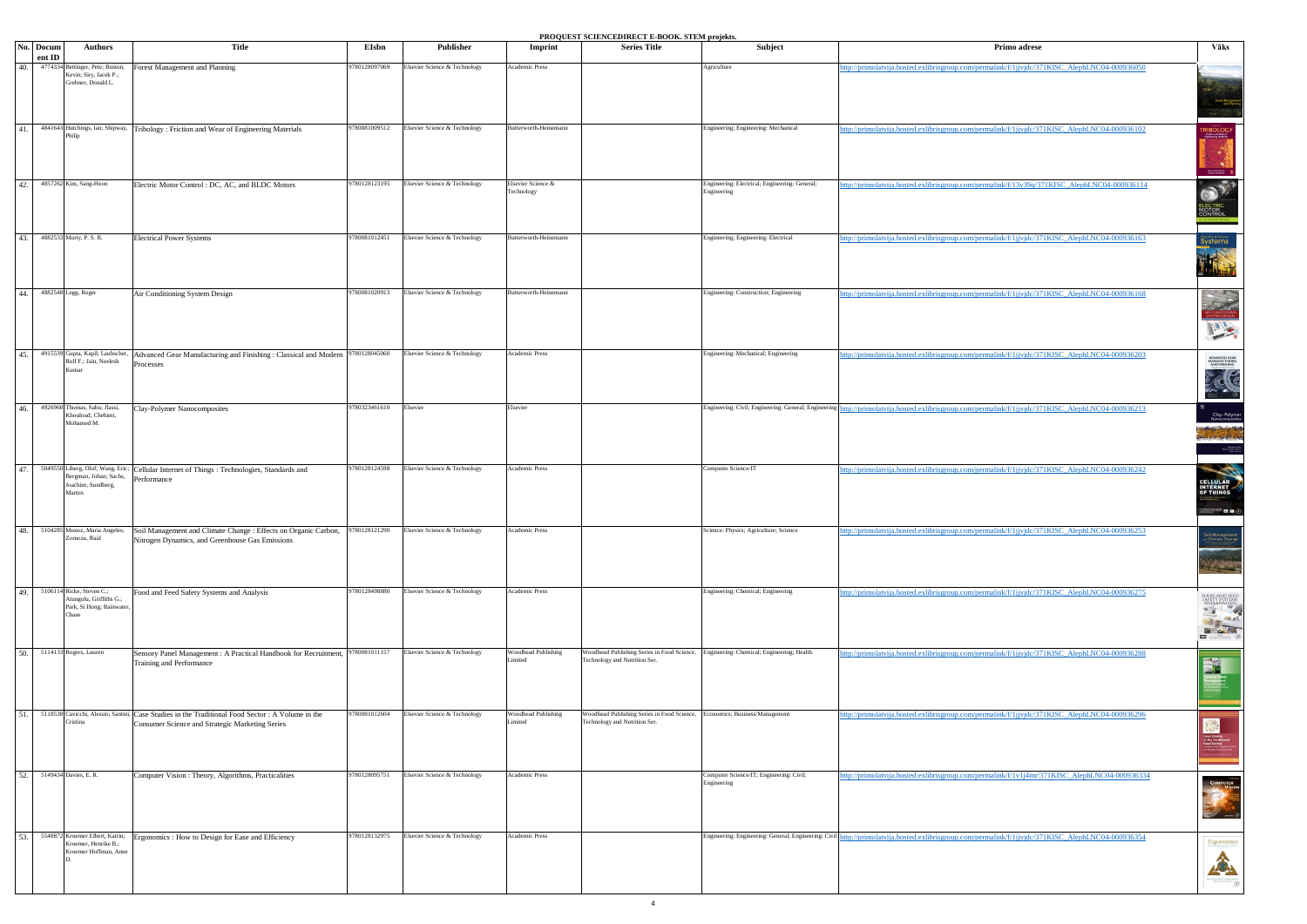|     |                     |                                                                                             |                                                                                                                                                      |               |                               |                                       | <b>PROQUEST SCIENCEDIRECT E-BOOK. STEM projekts.</b>                                                                    |                                                               |                                                                                                |                                                                                                                    |
|-----|---------------------|---------------------------------------------------------------------------------------------|------------------------------------------------------------------------------------------------------------------------------------------------------|---------------|-------------------------------|---------------------------------------|-------------------------------------------------------------------------------------------------------------------------|---------------------------------------------------------------|------------------------------------------------------------------------------------------------|--------------------------------------------------------------------------------------------------------------------|
|     | No. Docum<br>ent ID | <b>Authors</b>                                                                              | Title                                                                                                                                                | EIsbn         | Publisher                     | Imprint                               | <b>Series Title</b>                                                                                                     | Subject                                                       | Primo adrese                                                                                   | Vāks                                                                                                               |
| 40. |                     | 4774334 Bettinger, Pete; Boston,<br>Kevin; Siry, Jacek P.;<br>Grebner, Donald L.            | orest Management and Planning                                                                                                                        | 9780128097069 | Elsevier Science & Technology | Academic Press                        |                                                                                                                         | Agriculture                                                   | ttp://primolatvija.hosted.exlibrisgroup.com/permalink/f/1jjvjdc/371KISC_AlephLNC04-000936050   | Forest Managem<br>and Plann                                                                                        |
| 41. |                     | 4841643 Hutchings, Ian; Shipway,<br>Philip                                                  | Tribology: Friction and Wear of Engineering Materials                                                                                                | 9780081009512 | Elsevier Science & Technology | Butterworth-Heinemann                 |                                                                                                                         | Engineering; Engineering: Mechanical                          | http://primolatvija.hosted.exlibrisgroup.com/permalink/f/1jjvjdc/371KISC_AlephLNC04-000936102  | <b>TRIBOLOGY</b>                                                                                                   |
| 42. |                     | 4857262 Kim, Sang-Hoon                                                                      | Electric Motor Control: DC, AC, and BLDC Motors                                                                                                      | 9780128123195 | Elsevier Science & Technology | Elsevier Science &<br>Technology      |                                                                                                                         | Engineering: Electrical; Engineering: General;<br>Engineering | ttp://primolatvija.hosted.exlibrisgroup.com/permalink/f/13v39q/371KISC_AlephLNC04-000936114    | $\mathbf{a}^{\mathbf{y}}$<br>ECTRIC<br>IOTOR<br>ONTROL                                                             |
| 43. |                     | 4882533 Murty, P. S. R.                                                                     | <b>Electrical Power Systems</b>                                                                                                                      | 9780081012451 | Elsevier Science & Technology | Butterworth-Heinemann                 |                                                                                                                         | Engineering; Engineering: Electrical                          | ttp://primolatvija.hosted.exlibrisgroup.com/permalink/f/1jjvjdc/371KISC_AlephLNC04-000936163   | Systems<br>Systems<br>The Contract of Systems                                                                      |
| 44. |                     | 4882548 Legg, Roger                                                                         | Air Conditioning System Design                                                                                                                       | 9780081020913 | Elsevier Science & Technology | Butterworth-Heinemann                 |                                                                                                                         | Engineering: Construction; Engineering                        | http://primolatvija.hosted.exlibrisgroup.com/permalink/f/1jjvjdc/371KISC_AlephLNC04-000936168  | AIR CONDITIONING                                                                                                   |
| 45. |                     | 4915539 Gupta, Kapil; Laubscher,<br>Rolf F.; Jain, Neelesh<br>Kumar                         | Advanced Gear Manufacturing and Finishing: Classical and Modern<br>rocesses                                                                          | 9780128045060 | Elsevier Science & Technology | Academic Press                        |                                                                                                                         | Engineering: Mechanical; Engineering                          | http://primolatvija.hosted.exlibrisgroup.com/permalink/f/1jjvjdc/371KISC_AlephLNC04-000936203  | ADVANCED GEAR<br>MANUFACTURING<br>AND FINISHING<br>TEC                                                             |
| 46. |                     | 4926960 Thomas, Sabu; Jlassi,<br>Khouloud; Chehimi,<br>Mohamed M.                           | Clay-Polymer Nanocomposites                                                                                                                          | 9780323461610 | Elsevier                      | Elsevier                              |                                                                                                                         | Engineering: Civil; Engineering: General; Engineering         | ttp://primolatvija.hosted.exlibrisgroup.com/permalink/f/1jjvjdc/371KISC_AlephLNC04-000936213   | Clay-Polymer<br>Nanocomposites<br>Andréa (Marca)<br>Virtual<br>English (International M. Charles)<br>Saltos Thomas |
| 47. |                     | 5049550 Liberg, Olof; Wang, Eric;<br>Bergman, Johan; Sachs,<br>Joachim; Sundberg,<br>Marten | Cellular Internet of Things: Technologies, Standards and<br>Performance                                                                              | 9780128124598 | Elsevier Science & Technology | Academic Press                        |                                                                                                                         | Computer Science/IT                                           | ttp://primolatvija.hosted.exlibrisgroup.com/permalink/f/1jjvjdc/371KISC_AlephLNC04-000936242   | CELLULAR<br>INTERNET<br>OF THINGS<br>$\blacksquare \blacksquare \oslash$                                           |
| 48. |                     | 5104285 Munoz, Maria Angeles;<br>Zornoza, Raúl                                              | Soil Management and Climate Change : Effects on Organic Carbon, 9780128121290<br>Nitrogen Dynamics, and Greenhouse Gas Emissions                     |               | Elsevier Science & Technology | Academic Press                        |                                                                                                                         | Science: Physics; Agriculture; Science                        | http://primolatvija.hosted.exlibrisgroup.com/permalink/f/1jjvjdc/371KISC_AlephLNC04-000936253_ | Soil Management<br>a Climate Change<br>The Contractor                                                              |
| 49. |                     | 5106114 Ricke, Steven C.;<br>Atungulu, Griffiths G.;<br>Park, Si Hong; Rainwater<br>Chase   | Food and Feed Safety Systems and Analysis                                                                                                            | 9780128498880 | Elsevier Science & Technology | Academic Press                        |                                                                                                                         | Engineering: Chemical; Engineering                            | http://primolatvija.hosted.exlibrisgroup.com/permalink/f/1jjvjdc/371KISC_AlephLNC04-000936275  | FOOD AND FEED<br>SAFETY SYSTEMS<br>AND ANALYSIS                                                                    |
| 50. |                     | 5114133 Rogers, Lauren                                                                      | Sensory Panel Management : A Practical Handbook for Recruitment, 9780081011157<br>Training and Performance                                           |               | Elsevier Science & Technology | <b>Woodhead Publishing</b><br>imited  | Woodhead Publishing Series in Food Science, Engineering: Chemical; Engineering; Health<br>Technology and Nutrition Ser. |                                                               | ttp://primolatvija.hosted.exlibrisgroup.com/permalink/f/1jjvjdc/371KISC_AlephLNC04-000936288   |                                                                                                                    |
| 51. |                     | Cristina                                                                                    | 5118538 Cavicchi, Alessio; Santini, Case Studies in the Traditional Food Sector : A Volume in the<br>Consumer Science and Strategic Marketing Series | 9780081012604 | Elsevier Science & Technology | <b>Woodhead Publishing</b><br>Limited | Woodhead Publishing Series in Food Science, Economics; Business/Management<br>Technology and Nutrition Ser.             |                                                               | http://primolatvija.hosted.exlibrisgroup.com/permalink/f/1jjvjdc/371KISC_AlephLNC04-000936296  | Case Studies<br>In the Traditional<br>Food Sector<br>Instance in the Case<br>In Studies Management of              |
| 52. |                     | 5149434 Davies, E. R.                                                                       | Computer Vision : Theory, Algorithms, Practicalities                                                                                                 | 9780128095751 | Elsevier Science & Technology | Academic Press                        |                                                                                                                         | Computer Science/IT; Engineering: Civil;<br>Engineering       | http://primolatvija.hosted.exlibrisgroup.com/permalink/f/1v1j4mr/371KISC_AlephLNC04-000936334  | COMPUTER<br>VISION                                                                                                 |
| 53. |                     | 5548872 Kroemer Elbert, Katrin;<br>Kroemer, Henrike B.;<br>Kroemer Hoffman, Anne            | Ergonomics: How to Design for Ease and Efficiency                                                                                                    | 9780128132975 | Elsevier Science & Technology | Academic Press                        |                                                                                                                         | Engineering; Engineering: General; Engineering: Civil         | http://primolatvija.hosted.exlibrisgroup.com/permalink/f/1jjvjdc/371KISC_AlephLNC04-000936354  | Ergonomics<br>A                                                                                                    |

4